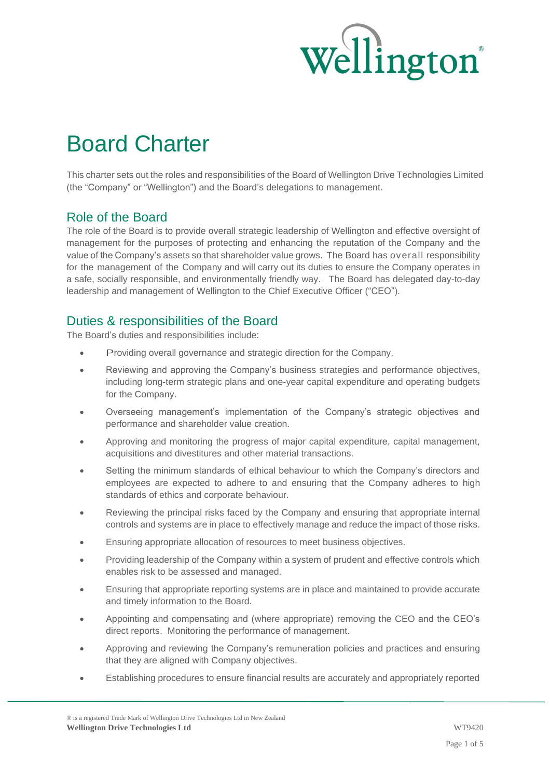

# Board Charter

This charter sets out the roles and responsibilities of the Board of Wellington Drive Technologies Limited (the "Company" or "Wellington") and the Board's delegations to management.

## Role of the Board

The role of the Board is to provide overall strategic leadership of Wellington and effective oversight of management for the purposes of protecting and enhancing the reputation of the Company and the value of the Company's assets so that shareholder value grows. The Board has overall responsibility for the management of the Company and will carry out its duties to ensure the Company operates in a safe, socially responsible, and environmentally friendly way. The Board has delegated day-to-day leadership and management of Wellington to the Chief Executive Officer ("CEO").

## Duties & responsibilities of the Board

The Board's duties and responsibilities include:

- Providing overall governance and strategic direction for the Company.
- Reviewing and approving the Company's business strategies and performance objectives, including long-term strategic plans and one-year capital expenditure and operating budgets for the Company.
- Overseeing management's implementation of the Company's strategic objectives and performance and shareholder value creation.
- Approving and monitoring the progress of major capital expenditure, capital management, acquisitions and divestitures and other material transactions.
- Setting the minimum standards of ethical behaviour to which the Company's directors and employees are expected to adhere to and ensuring that the Company adheres to high standards of ethics and corporate behaviour.
- Reviewing the principal risks faced by the Company and ensuring that appropriate internal controls and systems are in place to effectively manage and reduce the impact of those risks.
- Ensuring appropriate allocation of resources to meet business objectives.
- Providing leadership of the Company within a system of prudent and effective controls which enables risk to be assessed and managed.
- Ensuring that appropriate reporting systems are in place and maintained to provide accurate and timely information to the Board.
- Appointing and compensating and (where appropriate) removing the CEO and the CEO's direct reports. Monitoring the performance of management.
- Approving and reviewing the Company's remuneration policies and practices and ensuring that they are aligned with Company objectives.
- Establishing procedures to ensure financial results are accurately and appropriately reported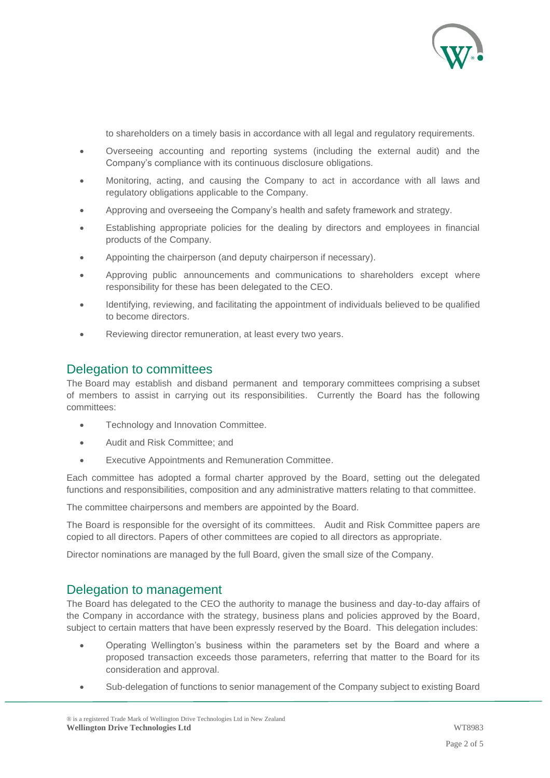

to shareholders on a timely basis in accordance with all legal and regulatory requirements.

- Overseeing accounting and reporting systems (including the external audit) and the Company's compliance with its continuous disclosure obligations.
- Monitoring, acting, and causing the Company to act in accordance with all laws and regulatory obligations applicable to the Company.
- Approving and overseeing the Company's health and safety framework and strategy.
- Establishing appropriate policies for the dealing by directors and employees in financial products of the Company.
- Appointing the chairperson (and deputy chairperson if necessary).
- Approving public announcements and communications to shareholders except where responsibility for these has been delegated to the CEO.
- Identifying, reviewing, and facilitating the appointment of individuals believed to be qualified to become directors.
- Reviewing director remuneration, at least every two years.

#### Delegation to committees

The Board may establish and disband permanent and temporary committees comprising a subset of members to assist in carrying out its responsibilities. Currently the Board has the following committees:

- Technology and Innovation Committee.
- Audit and Risk Committee; and
- Executive Appointments and Remuneration Committee.

Each committee has adopted a formal charter approved by the Board, setting out the delegated functions and responsibilities, composition and any administrative matters relating to that committee.

The committee chairpersons and members are appointed by the Board.

The Board is responsible for the oversight of its committees. Audit and Risk Committee papers are copied to all directors. Papers of other committees are copied to all directors as appropriate.

Director nominations are managed by the full Board, given the small size of the Company.

### Delegation to management

The Board has delegated to the CEO the authority to manage the business and day-to-day affairs of the Company in accordance with the strategy, business plans and policies approved by the Board, subject to certain matters that have been expressly reserved by the Board. This delegation includes:

- Operating Wellington's business within the parameters set by the Board and where a proposed transaction exceeds those parameters, referring that matter to the Board for its consideration and approval.
- Sub-delegation of functions to senior management of the Company subject to existing Board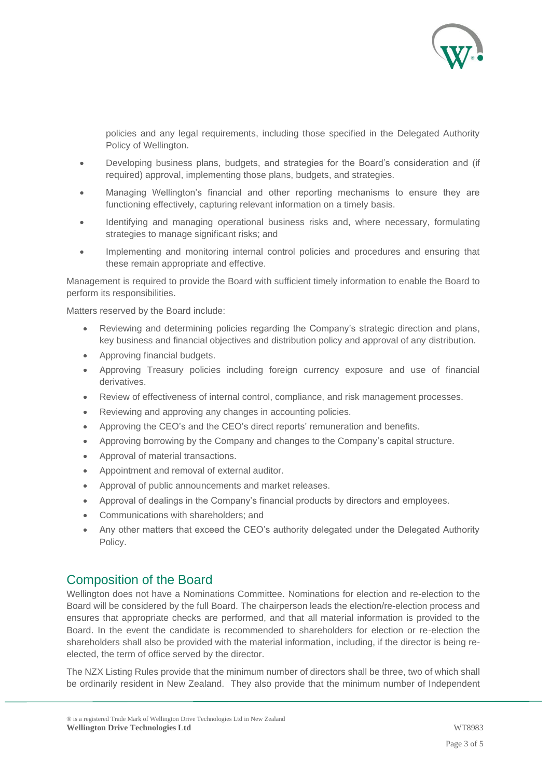

policies and any legal requirements, including those specified in the Delegated Authority Policy of Wellington.

- Developing business plans, budgets, and strategies for the Board's consideration and (if required) approval, implementing those plans, budgets, and strategies.
- Managing Wellington's financial and other reporting mechanisms to ensure they are functioning effectively, capturing relevant information on a timely basis.
- Identifying and managing operational business risks and, where necessary, formulating strategies to manage significant risks; and
- Implementing and monitoring internal control policies and procedures and ensuring that these remain appropriate and effective.

Management is required to provide the Board with sufficient timely information to enable the Board to perform its responsibilities.

Matters reserved by the Board include:

- Reviewing and determining policies regarding the Company's strategic direction and plans, key business and financial objectives and distribution policy and approval of any distribution.
- Approving financial budgets.
- Approving Treasury policies including foreign currency exposure and use of financial derivatives.
- Review of effectiveness of internal control, compliance, and risk management processes.
- Reviewing and approving any changes in accounting policies.
- Approving the CEO's and the CEO's direct reports' remuneration and benefits.
- Approving borrowing by the Company and changes to the Company's capital structure.
- Approval of material transactions.
- Appointment and removal of external auditor.
- Approval of public announcements and market releases.
- Approval of dealings in the Company's financial products by directors and employees.
- Communications with shareholders; and
- Any other matters that exceed the CEO's authority delegated under the Delegated Authority Policy.

### Composition of the Board

Wellington does not have a Nominations Committee. Nominations for election and re-election to the Board will be considered by the full Board. The chairperson leads the election/re-election process and ensures that appropriate checks are performed, and that all material information is provided to the Board. In the event the candidate is recommended to shareholders for election or re-election the shareholders shall also be provided with the material information, including, if the director is being reelected, the term of office served by the director.

The NZX Listing Rules provide that the minimum number of directors shall be three, two of which shall be ordinarily resident in New Zealand. They also provide that the minimum number of Independent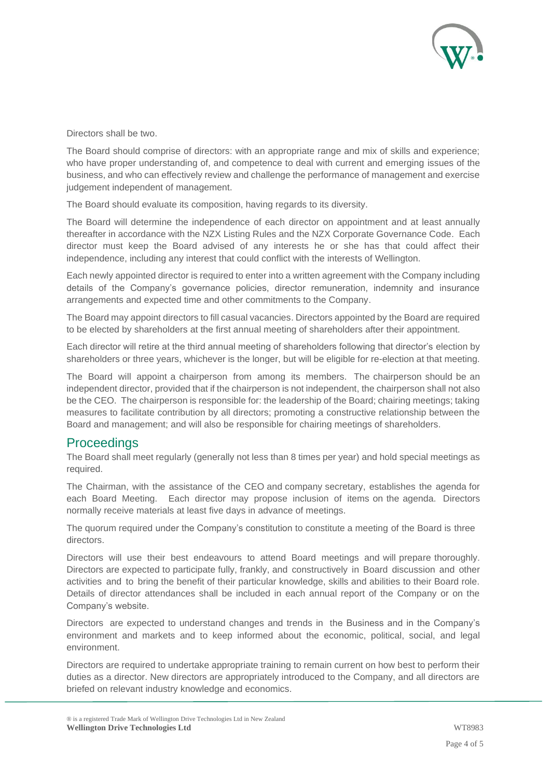

Directors shall be two.

The Board should comprise of directors: with an appropriate range and mix of skills and experience; who have proper understanding of, and competence to deal with current and emerging issues of the business, and who can effectively review and challenge the performance of management and exercise judgement independent of management.

The Board should evaluate its composition, having regards to its diversity.

The Board will determine the independence of each director on appointment and at least annually thereafter in accordance with the NZX Listing Rules and the NZX Corporate Governance Code. Each director must keep the Board advised of any interests he or she has that could affect their independence, including any interest that could conflict with the interests of Wellington.

Each newly appointed director is required to enter into a written agreement with the Company including details of the Company's governance policies, director remuneration, indemnity and insurance arrangements and expected time and other commitments to the Company.

The Board may appoint directors to fill casual vacancies. Directors appointed by the Board are required to be elected by shareholders at the first annual meeting of shareholders after their appointment.

Each director will retire at the third annual meeting of shareholders following that director's election by shareholders or three years, whichever is the longer, but will be eligible for re-election at that meeting.

The Board will appoint a chairperson from among its members. The chairperson should be an independent director, provided that if the chairperson is not independent, the chairperson shall not also be the CEO. The chairperson is responsible for: the leadership of the Board; chairing meetings; taking measures to facilitate contribution by all directors; promoting a constructive relationship between the Board and management; and will also be responsible for chairing meetings of shareholders.

## **Proceedings**

The Board shall meet regularly (generally not less than 8 times per year) and hold special meetings as required.

The Chairman, with the assistance of the CEO and company secretary, establishes the agenda for each Board Meeting. Each director may propose inclusion of items on the agenda. Directors normally receive materials at least five days in advance of meetings.

The quorum required under the Company's constitution to constitute a meeting of the Board is three directors.

Directors will use their best endeavours to attend Board meetings and will prepare thoroughly. Directors are expected to participate fully, frankly, and constructively in Board discussion and other activities and to bring the benefit of their particular knowledge, skills and abilities to their Board role. Details of director attendances shall be included in each annual report of the Company or on the Company's website.

Directors are expected to understand changes and trends in the Business and in the Company's environment and markets and to keep informed about the economic, political, social, and legal environment.

Directors are required to undertake appropriate training to remain current on how best to perform their duties as a director. New directors are appropriately introduced to the Company, and all directors are briefed on relevant industry knowledge and economics.